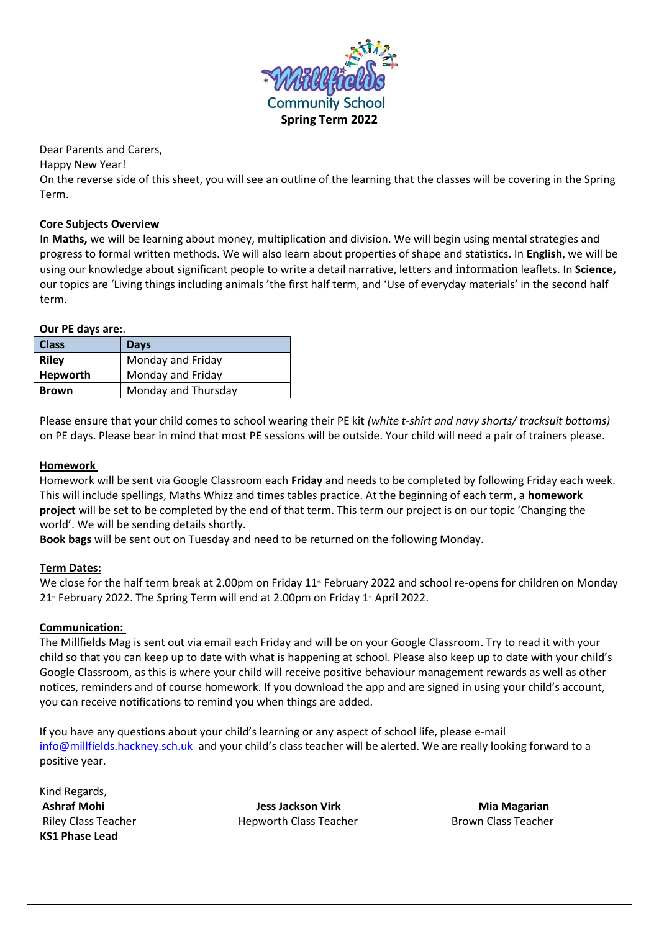

Dear Parents and Carers,

Happy New Year!

On the reverse side of this sheet, you will see an outline of the learning that the classes will be covering in the Spring Term.

# **Core Subjects Overview**

In **Maths,** we will be learning about money, multiplication and division. We will begin using mental strategies and progress to formal written methods. We will also learn about properties of shape and statistics. In **English**, we will be using our knowledge about significant people to write a detail narrative, letters and information leaflets. In **Science,** our topics are 'Living things including animals 'the first half term, and 'Use of everyday materials' in the second half term.

# **Our PE days are:**.

| <b>Class</b> | <b>Days</b>         |
|--------------|---------------------|
| <b>Riley</b> | Monday and Friday   |
| Hepworth     | Monday and Friday   |
| <b>Brown</b> | Monday and Thursday |

Please ensure that your child comes to school wearing their PE kit *(white t-shirt and navy shorts/ tracksuit bottoms)* on PE days. Please bear in mind that most PE sessions will be outside. Your child will need a pair of trainers please.

# **Homework**

Homework will be sent via Google Classroom each **Friday** and needs to be completed by following Friday each week. This will include spellings, Maths Whizz and times tables practice. At the beginning of each term, a **homework project** will be set to be completed by the end of that term. This term our project is on our topic 'Changing the world'. We will be sending details shortly.

**Book bags** will be sent out on Tuesday and need to be returned on the following Monday.

# **Term Dates:**

We close for the half term break at 2.00pm on Friday 11<sup>th</sup> February 2022 and school re-opens for children on Monday  $21$ <sup>\*</sup> February 2022. The Spring Term will end at 2.00pm on Friday 1<sup>\*</sup> April 2022.

# **Communication:**

The Millfields Mag is sent out via email each Friday and will be on your Google Classroom. Try to read it with your child so that you can keep up to date with what is happening at school. Please also keep up to date with your child's Google Classroom, as this is where your child will receive positive behaviour management rewards as well as other notices, reminders and of course homework. If you download the app and are signed in using your child's account, you can receive notifications to remind you when things are added.

If you have any questions about your child's learning or any aspect of school life, please e-mail [info@millfields.hackney.sch.uk](mailto:info@millfields.hackney.sch.uk) and your child's class teacher will be alerted. We are really looking forward to a positive year.

Kind Regards, **KS1 Phase Lead**

**Ashraf Mohi Jess Jackson Virk Mia Magarian** Riley Class Teacher **Hepworth Class Teacher Brown Class Teacher** Brown Class Teacher